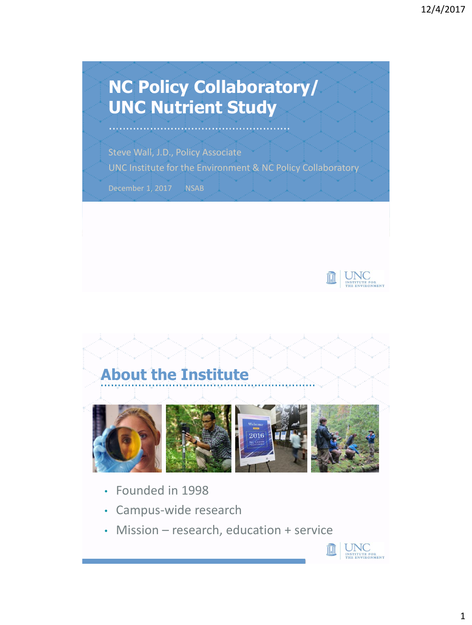## **NC Policy Collaboratory/ UNC Nutrient Study**

Steve Wall, J.D., Policy Associate UNC Institute for the Environment & NC Policy Collaboratory

December 1, 2017 NSAB





- Founded in 1998
- Campus-wide research
- Mission research, education + service

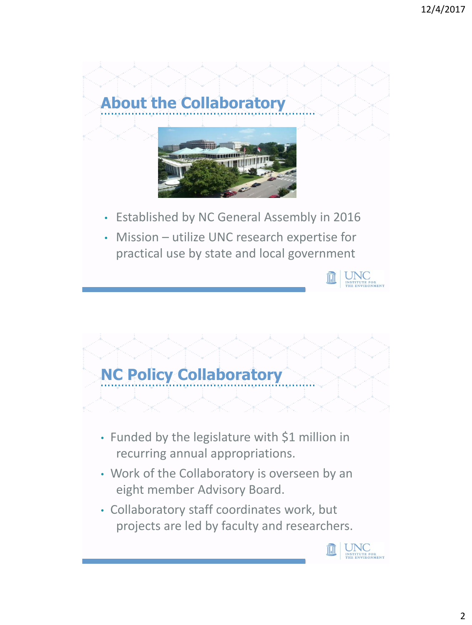

• Mission – utilize UNC research expertise for practical use by state and local government

UNC

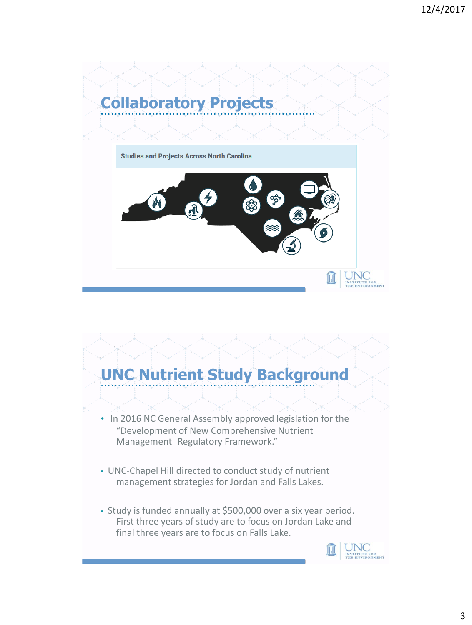

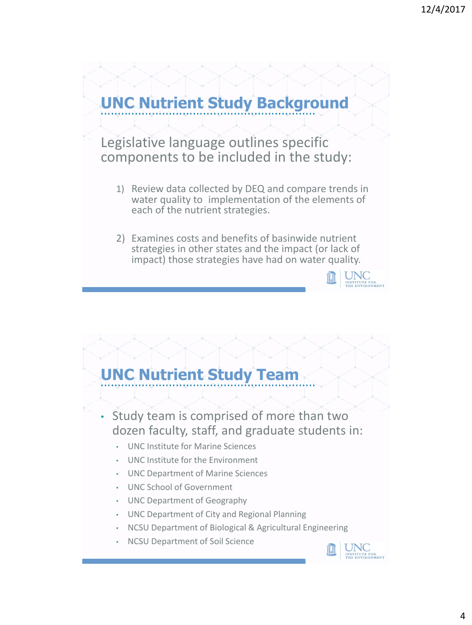## **UNC Nutrient Study Background**

Legislative language outlines specific components to be included in the study:

- 1) Review data collected by DEQ and compare trends in water quality to implementation of the elements of each of the nutrient strategies.
- 2) Examines costs and benefits of basinwide nutrient strategies in other states and the impact (or lack of impact) those strategies have had on water quality.<br> $\frac{1}{\pi} \sqrt{\frac{1}{\frac{N_{\text{S}}}{N_{\text{H}}}} \sqrt{\frac{1}{N_{\text{R}}}} \sqrt{\frac{1}{N_{\text{R}}}} \sqrt{\frac{1}{N_{\text{R}}}} \sqrt{\frac{1}{N_{\text{R}}}} \sqrt{\frac{1}{N_{\text{R}}}} \sqrt{\frac{1}{N_{\text{R}}}} \sqrt{\frac{1}{N_{\text{R}}}} \sqrt{\frac{1}{N_{\text{R}}}} \sqrt{\frac{1}{N_{\text{R}}$

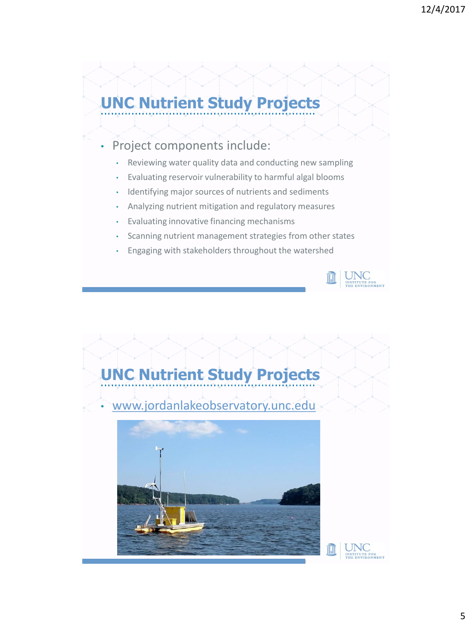## **UNC Nutrient Study Projects**

- Project components include:
	- Reviewing water quality data and conducting new sampling
	- Evaluating reservoir vulnerability to harmful algal blooms
	- Identifying major sources of nutrients and sediments
	- Analyzing nutrient mitigation and regulatory measures
	- Evaluating innovative financing mechanisms
	- Scanning nutrient management strategies from other states
	- Engaging with stakeholders throughout the watershed



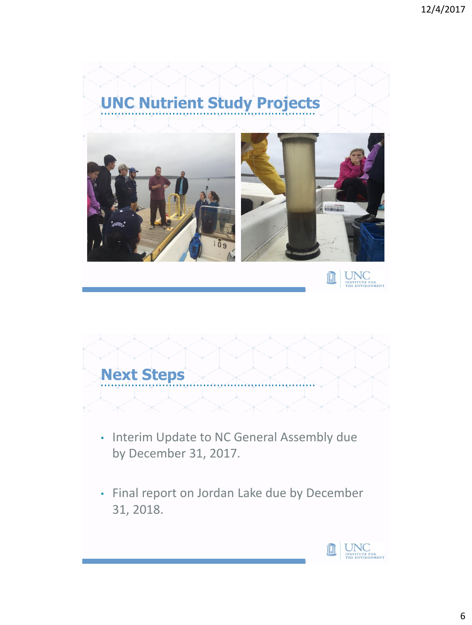## **UNC Nutrient Study Projects**





- Interim Update to NC General Assembly due by December 31, 2017.
- Final report on Jordan Lake due by December 31, 2018.